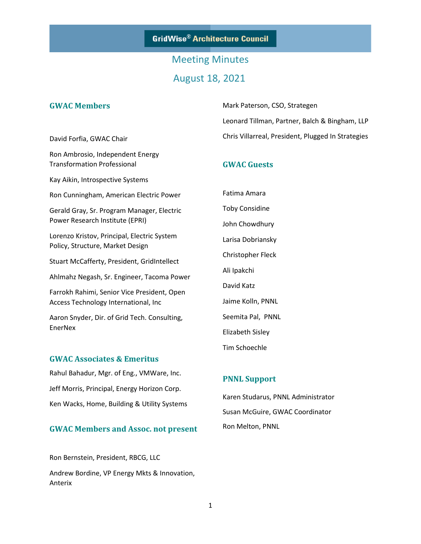## Meeting Minutes August 18, 2021

#### **GWAC Members**

David Forfia, GWAC Chair

Transformation Professional

Kay Aikin, Introspective Systems

Ron Ambrosio, Independent Energy

Mark Paterson, CSO, Strategen Leonard Tillman, Partner, Balch & Bingham, LLP Chris Villarreal, President, Plugged In Strategies

#### **GWAC Guests**

Ron Cunningham, American Electric Power

Gerald Gray, Sr. Program Manager, Electric Power Research Institute (EPRI)

Lorenzo Kristov, Principal, Electric System Policy, Structure, Market Design

Stuart McCafferty, President, GridIntellect

Ahlmahz Negash, Sr. Engineer, Tacoma Power

Farrokh Rahimi, Senior Vice President, Open Access Technology International, Inc

Aaron Snyder, Dir. of Grid Tech. Consulting, EnerNex

#### **GWAC Associates & Emeritus**

Rahul Bahadur, Mgr. of Eng., VMWare, Inc. Jeff Morris, Principal, Energy Horizon Corp. Ken Wacks, Home, Building & Utility Systems

#### **GWAC Members and Assoc. not present**

Ron Bernstein, President, RBCG, LLC Andrew Bordine, VP Energy Mkts & Innovation, Anterix

Fatima Amara Toby Considine John Chowdhury Larisa Dobriansky Christopher Fleck Ali Ipakchi David Katz Jaime Kolln, PNNL Seemita Pal, PNNL Elizabeth Sisley Tim Schoechle

#### **PNNL Support**

Karen Studarus, PNNL Administrator Susan McGuire, GWAC Coordinator Ron Melton, PNNL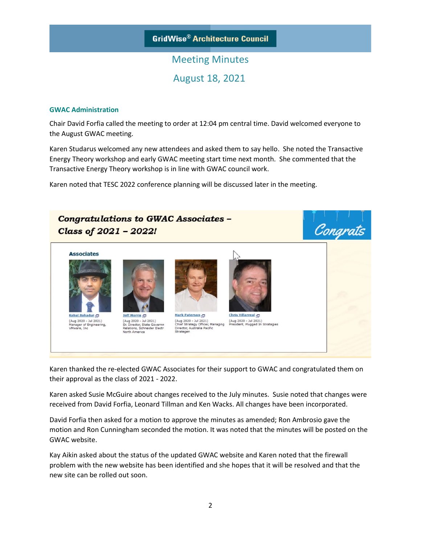# Meeting Minutes August 18, 2021

#### **GWAC Administration**

Chair David Forfia called the meeting to order at 12:04 pm central time. David welcomed everyone to the August GWAC meeting.

Karen Studarus welcomed any new attendees and asked them to say hello. She noted the Transactive Energy Theory workshop and early GWAC meeting start time next month. She commented that the Transactive Energy Theory workshop is in line with GWAC council work.

Karen noted that TESC 2022 conference planning will be discussed later in the meeting.



Karen thanked the re-elected GWAC Associates for their support to GWAC and congratulated them on their approval as the class of 2021 - 2022.

Karen asked Susie McGuire about changes received to the July minutes. Susie noted that changes were received from David Forfia, Leonard Tillman and Ken Wacks. All changes have been incorporated.

David Forfia then asked for a motion to approve the minutes as amended; Ron Ambrosio gave the motion and Ron Cunningham seconded the motion. It was noted that the minutes will be posted on the GWAC website.

Kay Aikin asked about the status of the updated GWAC website and Karen noted that the firewall problem with the new website has been identified and she hopes that it will be resolved and that the new site can be rolled out soon.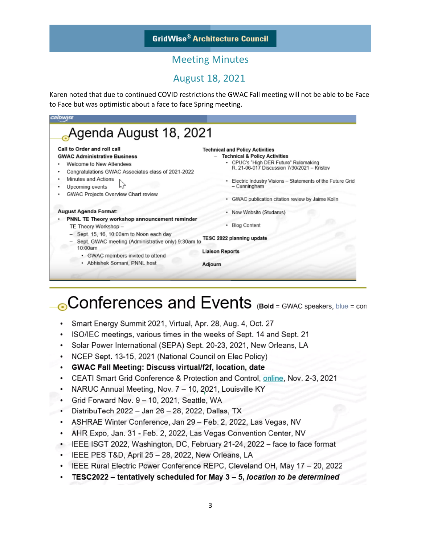### Meeting Minutes

### August 18, 2021

Karen noted that due to continued COVID restrictions the GWAC Fall meeting will not be able to be Face to Face but was optimistic about a face to face Spring meeting.



# **Conferences and Events** (Bold = GWAC speakers, blue = con

- Smart Energy Summit 2021, Virtual, Apr. 28, Aug. 4, Oct. 27
- ISO/IEC meetings, various times in the weeks of Sept. 14 and Sept. 21
- Solar Power International (SEPA) Sept. 20-23, 2021, New Orleans, LA
- NCEP Sept. 13-15, 2021 (National Council on Elec Policy)
- **GWAC Fall Meeting: Discuss virtual/f2f, location, date**  $\bullet$
- CEATI Smart Grid Conference & Protection and Control, online, Nov. 2-3, 2021
- NARUC Annual Meeting, Nov. 7 10, 2021, Louisville KY
- Grid Forward Nov. 9 10, 2021, Seattle, WA
- $\bullet$ DistribuTech 2022 - Jan 26 - 28, 2022, Dallas, TX
- ASHRAE Winter Conference, Jan 29 Feb. 2, 2022, Las Vegas, NV
- AHR Expo, Jan. 31 Feb. 2, 2022, Las Vegas Convention Center, NV
- IEEE ISGT 2022, Washington, DC, February 21-24, 2022 face to face format
- · IEEE PES T&D, April 25 28, 2022, New Orleans, LA
- IEEE Rural Electric Power Conference REPC, Cleveland OH, May 17 20, 2022
- TESC2022 tentatively scheduled for May 3 5, location to be determined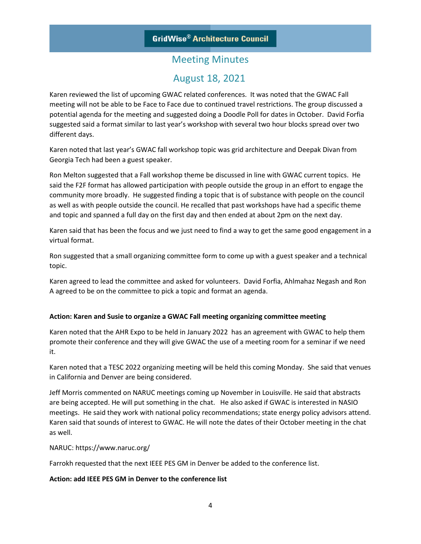### August 18, 2021

Karen reviewed the list of upcoming GWAC related conferences. It was noted that the GWAC Fall meeting will not be able to be Face to Face due to continued travel restrictions. The group discussed a potential agenda for the meeting and suggested doing a Doodle Poll for dates in October. David Forfia suggested said a format similar to last year's workshop with several two hour blocks spread over two different days.

Karen noted that last year's GWAC fall workshop topic was grid architecture and Deepak Divan from Georgia Tech had been a guest speaker.

Ron Melton suggested that a Fall workshop theme be discussed in line with GWAC current topics. He said the F2F format has allowed participation with people outside the group in an effort to engage the community more broadly. He suggested finding a topic that is of substance with people on the council as well as with people outside the council. He recalled that past workshops have had a specific theme and topic and spanned a full day on the first day and then ended at about 2pm on the next day.

Karen said that has been the focus and we just need to find a way to get the same good engagement in a virtual format.

Ron suggested that a small organizing committee form to come up with a guest speaker and a technical topic.

Karen agreed to lead the committee and asked for volunteers. David Forfia, Ahlmahaz Negash and Ron A agreed to be on the committee to pick a topic and format an agenda.

#### **Action: Karen and Susie to organize a GWAC Fall meeting organizing committee meeting**

Karen noted that the AHR Expo to be held in January 2022 has an agreement with GWAC to help them promote their conference and they will give GWAC the use of a meeting room for a seminar if we need it.

Karen noted that a TESC 2022 organizing meeting will be held this coming Monday. She said that venues in California and Denver are being considered.

Jeff Morris commented on NARUC meetings coming up November in Louisville. He said that abstracts are being accepted. He will put something in the chat. He also asked if GWAC is interested in NASIO meetings. He said they work with national policy recommendations; state energy policy advisors attend. Karen said that sounds of interest to GWAC. He will note the dates of their October meeting in the chat as well.

#### NARUC: https://www.naruc.org/

Farrokh requested that the next IEEE PES GM in Denver be added to the conference list.

#### **Action: add IEEE PES GM in Denver to the conference list**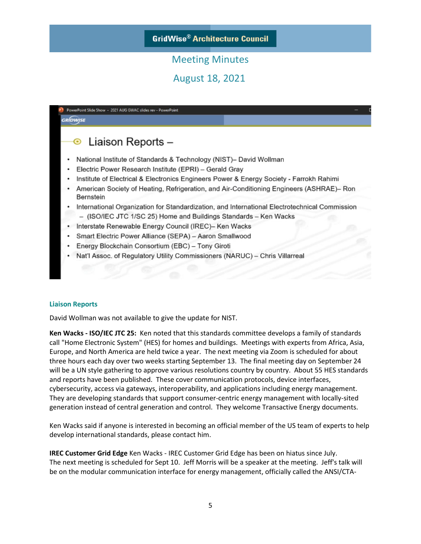August 18, 2021

| Liaison Reports -<br>⊙                                                                                |
|-------------------------------------------------------------------------------------------------------|
| National Institute of Standards & Technology (NIST)- David Wollman                                    |
| Electric Power Research Institute (EPRI) - Gerald Gray                                                |
| Institute of Electrical & Electronics Engineers Power & Energy Society - Farrokh Rahimi               |
| American Society of Heating, Refrigeration, and Air-Conditioning Engineers (ASHRAE)– Ron<br>Bernstein |
| International Organization for Standardization, and International Electrotechnical Commission         |
| - (ISO/IEC JTC 1/SC 25) Home and Buildings Standards - Ken Wacks                                      |
| Interstate Renewable Energy Council (IREC)- Ken Wacks                                                 |
| Smart Electric Power Alliance (SEPA) - Aaron Smallwood                                                |
| Energy Blockchain Consortium (EBC) - Tony Giroti                                                      |
| Nat'l Assoc. of Regulatory Utility Commissioners (NARUC) - Chris Villarrea                            |

#### **Liaison Reports**

David Wollman was not available to give the update for NIST.

**Ken Wacks - ISO/IEC JTC 25:** Ken noted that this standards committee develops a family of standards call "Home Electronic System" (HES) for homes and buildings. Meetings with experts from Africa, Asia, Europe, and North America are held twice a year. The next meeting via Zoom is scheduled for about three hours each day over two weeks starting September 13. The final meeting day on September 24 will be a UN style gathering to approve various resolutions country by country. About 55 HES standards and reports have been published. These cover communication protocols, device interfaces, cybersecurity, access via gateways, interoperability, and applications including energy management. They are developing standards that support consumer-centric energy management with locally-sited generation instead of central generation and control. They welcome Transactive Energy documents.

Ken Wacks said if anyone is interested in becoming an official member of the US team of experts to help develop international standards, please contact him.

**IREC Customer Grid Edge** Ken Wacks - IREC Customer Grid Edge has been on hiatus since July. The next meeting is scheduled for Sept 10. Jeff Morris will be a speaker at the meeting. Jeff's talk will be on the modular communication interface for energy management, officially called the ANSI/CTA-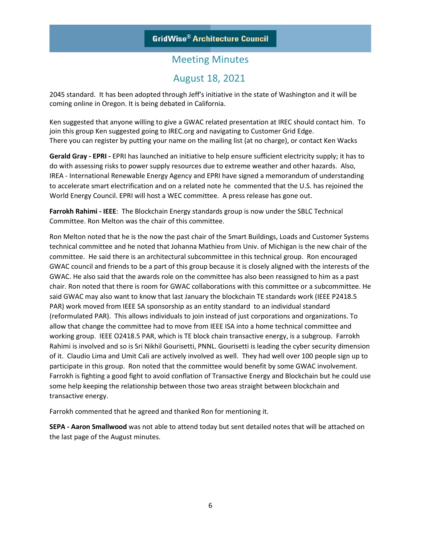### August 18, 2021

2045 standard. It has been adopted through Jeff's initiative in the state of Washington and it will be coming online in Oregon. It is being debated in California.

Ken suggested that anyone willing to give a GWAC related presentation at IREC should contact him. To join this group Ken suggested going to IREC.org and navigating to Customer Grid Edge. There you can register by putting your name on the mailing list (at no charge), or contact Ken Wacks

**Gerald Gray - EPRI -** EPRI has launched an initiative to help ensure sufficient electricity supply; it has to do with assessing risks to power supply resources due to extreme weather and other hazards. Also, IREA - International Renewable Energy Agency and EPRI have signed a memorandum of understanding to accelerate smart electrification and on a related note he commented that the U.S. has rejoined the World Energy Council. EPRI will host a WEC committee. A press release has gone out.

**Farrokh Rahimi - IEEE**: The Blockchain Energy standards group is now under the SBLC Technical Committee. Ron Melton was the chair of this committee.

Ron Melton noted that he is the now the past chair of the Smart Buildings, Loads and Customer Systems technical committee and he noted that Johanna Mathieu from Univ. of Michigan is the new chair of the committee. He said there is an architectural subcommittee in this technical group. Ron encouraged GWAC council and friends to be a part of this group because it is closely aligned with the interests of the GWAC. He also said that the awards role on the committee has also been reassigned to him as a past chair. Ron noted that there is room for GWAC collaborations with this committee or a subcommittee. He said GWAC may also want to know that last January the blockchain TE standards work (IEEE P2418.5 PAR) work moved from IEEE SA sponsorship as an entity standard to an individual standard (reformulated PAR). This allows individuals to join instead of just corporations and organizations. To allow that change the committee had to move from IEEE ISA into a home technical committee and working group. IEEE O2418.5 PAR, which is TE block chain transactive energy, is a subgroup. Farrokh Rahimi is involved and so is Sri Nikhil Gourisetti, PNNL. Gourisetti is leading the cyber security dimension of it. Claudio Lima and Umit Cali are actively involved as well. They had well over 100 people sign up to participate in this group. Ron noted that the committee would benefit by some GWAC involvement. Farrokh is fighting a good fight to avoid conflation of Transactive Energy and Blockchain but he could use some help keeping the relationship between those two areas straight between blockchain and transactive energy.

Farrokh commented that he agreed and thanked Ron for mentioning it.

**SEPA - Aaron Smallwood** was not able to attend today but sent detailed notes that will be attached on the last page of the August minutes.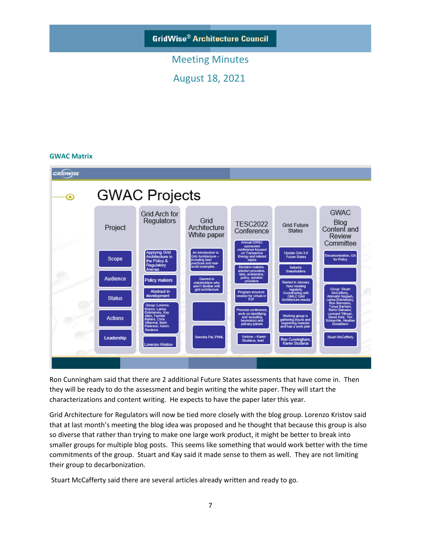### Meeting Minutes

August 18, 2021

#### **GWAC Matrix**



Ron Cunningham said that there are 2 additional Future States assessments that have come in. Then they will be ready to do the assessment and begin writing the white paper. They will start the characterizations and content writing. He expects to have the paper later this year.

Grid Architecture for Regulators will now be tied more closely with the blog group. Lorenzo Kristov said that at last month's meeting the blog idea was proposed and he thought that because this group is also so diverse that rather than trying to make one large work product, it might be better to break into smaller groups for multiple blog posts. This seems like something that would work better with the time commitments of the group. Stuart and Kay said it made sense to them as well. They are not limiting their group to decarbonization.

Stuart McCafferty said there are several articles already written and ready to go.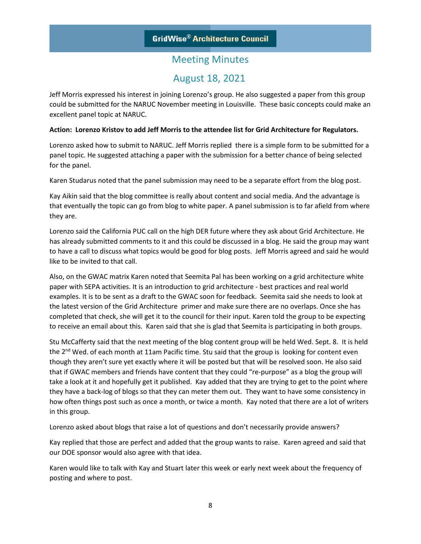### August 18, 2021

Jeff Morris expressed his interest in joining Lorenzo's group. He also suggested a paper from this group could be submitted for the NARUC November meeting in Louisville. These basic concepts could make an excellent panel topic at NARUC.

#### **Action: Lorenzo Kristov to add Jeff Morris to the attendee list for Grid Architecture for Regulators.**

Lorenzo asked how to submit to NARUC. Jeff Morris replied there is a simple form to be submitted for a panel topic. He suggested attaching a paper with the submission for a better chance of being selected for the panel.

Karen Studarus noted that the panel submission may need to be a separate effort from the blog post.

Kay Aikin said that the blog committee is really about content and social media. And the advantage is that eventually the topic can go from blog to white paper. A panel submission is to far afield from where they are.

Lorenzo said the California PUC call on the high DER future where they ask about Grid Architecture. He has already submitted comments to it and this could be discussed in a blog. He said the group may want to have a call to discuss what topics would be good for blog posts. Jeff Morris agreed and said he would like to be invited to that call.

Also, on the GWAC matrix Karen noted that Seemita Pal has been working on a grid architecture white paper with SEPA activities. It is an introduction to grid architecture - best practices and real world examples. It is to be sent as a draft to the GWAC soon for feedback. Seemita said she needs to look at the latest version of the Grid Architecture primer and make sure there are no overlaps. Once she has completed that check, she will get it to the council for their input. Karen told the group to be expecting to receive an email about this. Karen said that she is glad that Seemita is participating in both groups.

Stu McCafferty said that the next meeting of the blog content group will be held Wed. Sept. 8. It is held the  $2^{nd}$  Wed. of each month at 11am Pacific time. Stu said that the group is looking for content even though they aren't sure yet exactly where it will be posted but that will be resolved soon. He also said that if GWAC members and friends have content that they could "re-purpose" as a blog the group will take a look at it and hopefully get it published. Kay added that they are trying to get to the point where they have a back-log of blogs so that they can meter them out. They want to have some consistency in how often things post such as once a month, or twice a month. Kay noted that there are a lot of writers in this group.

Lorenzo asked about blogs that raise a lot of questions and don't necessarily provide answers?

Kay replied that those are perfect and added that the group wants to raise. Karen agreed and said that our DOE sponsor would also agree with that idea.

Karen would like to talk with Kay and Stuart later this week or early next week about the frequency of posting and where to post.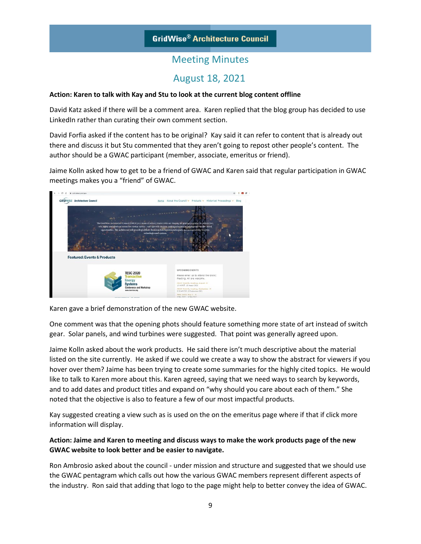### Meeting Minutes

### August 18, 2021

#### **Action: Karen to talk with Kay and Stu to look at the current blog content offline**

David Katz asked if there will be a comment area. Karen replied that the blog group has decided to use LinkedIn rather than curating their own comment section.

David Forfia asked if the content has to be original? Kay said it can refer to content that is already out there and discuss it but Stu commented that they aren't going to repost other people's content. The author should be a GWAC participant (member, associate, emeritus or friend).

Jaime Kolln asked how to get to be a friend of GWAC and Karen said that regular participation in GWAC meetings makes you a "friend" of GWAC.



Karen gave a brief demonstration of the new GWAC website.

One comment was that the opening phots should feature something more state of art instead of switch gear. Solar panels, and wind turbines were suggested. That point was generally agreed upon.

Jaime Kolln asked about the work products. He said there isn't much descriptive about the material listed on the site currently. He asked if we could we create a way to show the abstract for viewers if you hover over them? Jaime has been trying to create some summaries for the highly cited topics. He would like to talk to Karen more about this. Karen agreed, saying that we need ways to search by keywords, and to add dates and product titles and expand on "why should you care about each of them." She noted that the objective is also to feature a few of our most impactful products.

Kay suggested creating a view such as is used on the on the emeritus page where if that if click more information will display.

#### **Action: Jaime and Karen to meeting and discuss ways to make the work products page of the new GWAC website to look better and be easier to navigate.**

Ron Ambrosio asked about the council - under mission and structure and suggested that we should use the GWAC pentagram which calls out how the various GWAC members represent different aspects of the industry. Ron said that adding that logo to the page might help to better convey the idea of GWAC.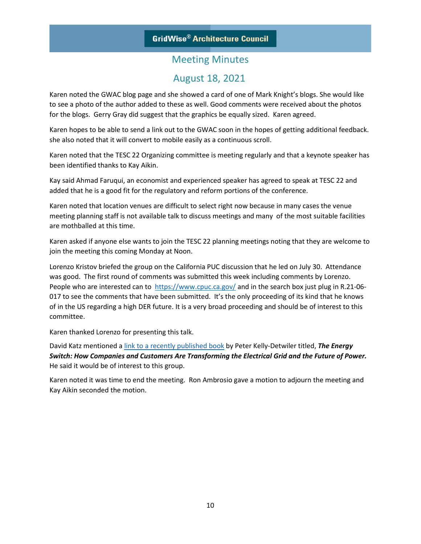### Meeting Minutes

### August 18, 2021

Karen noted the GWAC blog page and she showed a card of one of Mark Knight's blogs. She would like to see a photo of the author added to these as well. Good comments were received about the photos for the blogs. Gerry Gray did suggest that the graphics be equally sized. Karen agreed.

Karen hopes to be able to send a link out to the GWAC soon in the hopes of getting additional feedback. she also noted that it will convert to mobile easily as a continuous scroll.

Karen noted that the TESC 22 Organizing committee is meeting regularly and that a keynote speaker has been identified thanks to Kay Aikin.

Kay said Ahmad Faruqui, an economist and experienced speaker has agreed to speak at TESC 22 and added that he is a good fit for the regulatory and reform portions of the conference.

Karen noted that location venues are difficult to select right now because in many cases the venue meeting planning staff is not available talk to discuss meetings and many of the most suitable facilities are mothballed at this time.

Karen asked if anyone else wants to join the TESC 22 planning meetings noting that they are welcome to join the meeting this coming Monday at Noon.

Lorenzo Kristov briefed the group on the California PUC discussion that he led on July 30. Attendance was good. The first round of comments was submitted this week including comments by Lorenzo. People who are interested can to <https://www.cpuc.ca.gov/> and in the search box just plug in R.21-06-017 to see the comments that have been submitted. It's the only proceeding of its kind that he knows of in the US regarding a high DER future. It is a very broad proceeding and should be of interest to this committee.

Karen thanked Lorenzo for presenting this talk.

David Katz mentioned [a link to a recently published book](https://www.amazon.ca/Energy-Switch-Companies-Transforming-Electrical/dp/1633886662/ref=asc_df_1633886662/?tag=googleshopc0c-20&linkCode=df0&hvadid=531293004707&hvpos=&hvnetw=g&hvrand=11331358980423279987&hvpone=&hvptwo=&hvqmt=&hvdev=c&hvdvcmdl=&hvlocint=&hvlocphy=1002451&hvtargid=pla-1212909181832&psc=1) by Peter Kelly-Detwiler titled, *The Energy Switch: How Companies and Customers Are Transforming the Electrical Grid and the Future of Power.* He said it would be of interest to this group.

Karen noted it was time to end the meeting. Ron Ambrosio gave a motion to adjourn the meeting and Kay Aikin seconded the motion.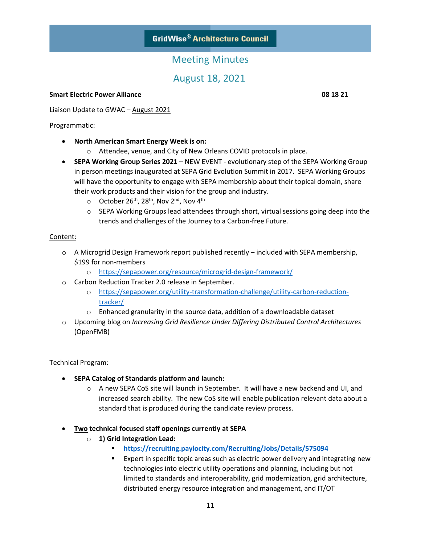### Meeting Minutes

August 18, 2021

#### **Smart Electric Power Alliance 08 18 21**

Liaison Update to GWAC – August 2021

#### Programmatic:

- **North American Smart Energy Week is on:** 
	- o Attendee, venue, and City of New Orleans COVID protocols in place.
- **SEPA Working Group Series 2021** NEW EVENT evolutionary step of the SEPA Working Group in person meetings inaugurated at SEPA Grid Evolution Summit in 2017. SEPA Working Groups will have the opportunity to engage with SEPA membership about their topical domain, share their work products and their vision for the group and industry.
	- $\circ$  October 26<sup>th</sup>, 28<sup>th</sup>, Nov 2<sup>nd</sup>, Nov 4<sup>th</sup>
	- o SEPA Working Groups lead attendees through short, virtual sessions going deep into the trends and challenges of the Journey to a Carbon-free Future.

#### Content:

- $\circ$  A Microgrid Design Framework report published recently included with SEPA membership, \$199 for non-members
	- o <https://sepapower.org/resource/microgrid-design-framework/>
- o Carbon Reduction Tracker 2.0 release in September.
	- o [https://sepapower.org/utility-transformation-challenge/utility-carbon-reduction](https://sepapower.org/utility-transformation-challenge/utility-carbon-reduction-tracker/)[tracker/](https://sepapower.org/utility-transformation-challenge/utility-carbon-reduction-tracker/)
	- $\circ$  Enhanced granularity in the source data, addition of a downloadable dataset
- o Upcoming blog on *Increasing Grid Resilience Under Differing Distributed Control Architectures* (OpenFMB)

#### Technical Program:

- **SEPA Catalog of Standards platform and launch:**
	- o A new SEPA CoS site will launch in September. It will have a new backend and UI, and increased search ability. The new CoS site will enable publication relevant data about a standard that is produced during the candidate review process.
- **Two technical focused staff openings currently at SEPA**
	- o **1) Grid Integration Lead:** 
		- **<https://recruiting.paylocity.com/Recruiting/Jobs/Details/575094>**
		- Expert in specific topic areas such as electric power delivery and integrating new technologies into electric utility operations and planning, including but not limited to standards and interoperability, grid modernization, grid architecture, distributed energy resource integration and management, and IT/OT